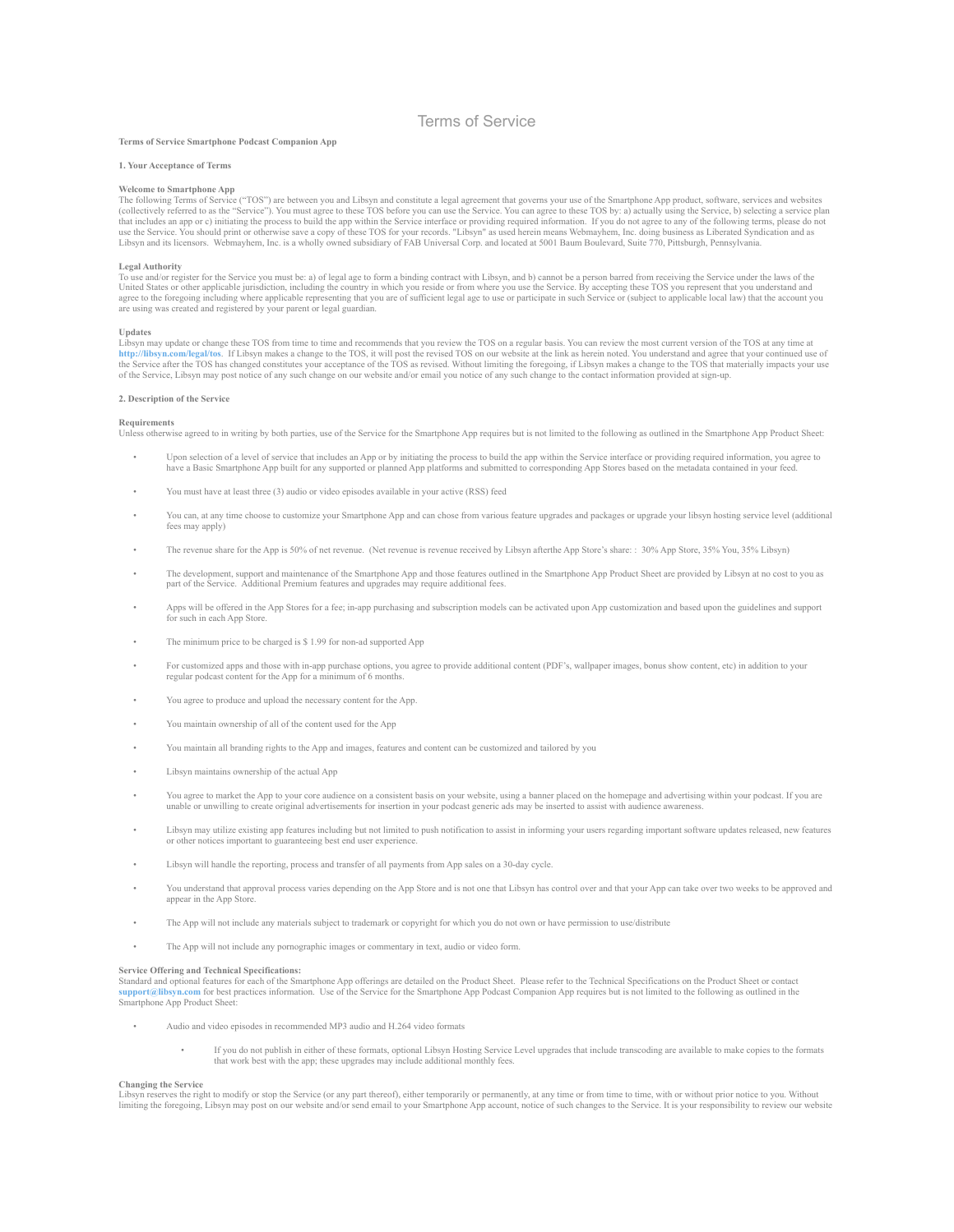# Terms of Service

# **Terms of Service Smartphone Podcast Companion App**

#### **1. Your Acceptance of Terms**

### **Welcome to Smartphone App**

The following Terms of Service ("TOS") are between you and Libsyn and constitute a legal agreement that governs your use of the Smartphone App product, software, services and websites (collectively referred to as the "Serv that includes an app or c) initiating the process to build the app within the Service interface or providing required information. If you do not agree to any of the following terms, please do not use the Service. You should print or otherwise save a copy of these TOS for your records. "Libsyn" as used herein means Webmayhem, Inc. doing business as Liberated Syndication and as<br>Libsyn and its licensors. Webmayhem, In

Legal Authority<br>To use and/or register for the Service you must be: a) of legal age to form a binding contract with Libsyn, and b) cannot be a person barred from receiving the Service under the laws of the<br>United States or

### **Updates**

Libsyn may update or change these TOS from time to time and recommends that you review the TOS on a regular basis. You can review the most current version of the TOS at any time at<br>http://libsyn.com/legal/tos. If Libsyn ma the Service after the TOS has changed constitutes your acceptance of the TOS as revised. Without limiting the foregoing, if Libsyn makes a change to the TOS that materially impacts your use<br>of the Service, Libsyn may post

# **2. Description of the Service**

#### **Requirements**

Unless otherwise agreed to in writing by both parties, use of the Service for the Smartphone App requires but is not limited to the following as outlined in the Smartphone App Product Sheet:

- Upon selection of a level of service that includes an App or by initiating the process to build the app within the Service interface or providing required information, you agree to have a Basic Smartphone App built for any supported or planned App platforms and submitted to corresponding App Stores based on the metadata contained in your feed.
- You must have at least three (3) audio or video episodes available in your active (RSS) feed
- You can, at any time choose to customize your Smartphone App and can chose from various feature upgrades and packages or upgrade your libsyn hosting service level (additional fees may apply)
- The revenue share for the App is 50% of net revenue. (Net revenue is revenue received by Libsyn afterthe App Store's share: : 30% App Store, 35% You, 35% Libsyn)
- The development, support and maintenance of the Smartphone App and those features outlined in the Smartphone App Product Sheet are provided by Libsyn at no cost to you as<br>part of the Service. Additional Premium features
- Apps will be offered in the App Stores for a fee; in-app purchasing and subscription models can be activated upon App customization and based upon the guidelines and support for such in each App Store.
- The minimum price to be charged is \$ 1.99 for non-ad supported App
- For customized apps and those with in-app purchase options, you agree to provide additional content (PDF's, wallpaper images, bonus show content, etc) in addition to your regular podcast content for the App for a minimum o
- You agree to produce and upload the necessary content for the App.
- You maintain ownership of all of the content used for the App
- You maintain all branding rights to the App and images, features and content can be customized and tailored by you
- Libsyn maintains ownership of the actual App
- You agree to market the App to your core audience on a consistent basis on your website, using a banner placed on the homepage and advertising within your podcast. If you are unable or unwilling to create original advert
- Libsyn may utilize existing app features including but not limited to push notification to assist in informing your users regarding important software updates released, new features or other notices important to guaranteeing best end user experience.
- Libsyn will handle the reporting, process and transfer of all payments from App sales on a 30-day cycle.
- You understand that approval process varies depending on the App Store and is not one that Libsyn has control over and that your App can take over two weeks to be approved and appear in the App Store.
- The App will not include any materials subject to trademark or copyright for which you do not own or have permission to use/distribute
- The App will not include any pornographic images or commentary in text, audio or video form.

#### **Service Offering and Technical Specifications:**

Standard and optional features for each of the Smartphone App offerings are detailed on the Product Sheet. Please refer to the Technical Specifications on the Product Sheet or contact **support@libsyn.com** for best practices information. Use of the Service for the Smartphone App Podcast Companion App requires but is not limited to the following as outlined in the Smartphone App Product Sheet:

- Audio and video episodes in recommended MP3 audio and H.264 video formats
	- If you do not publish in either of these formats, optional Libsyn Hosting Service Level upgrades that include transcoding are available to make copies to the formats that work best with the app; these upgrades may include additional monthly fees.

# **Changing the Service**

Libsyn reserves the right to modify or stop the Service (or any part thereof), either temporarily or permanently, at any time or from time to time, with or without prior notice to you. Without<br>limiting the foregoing, Libsy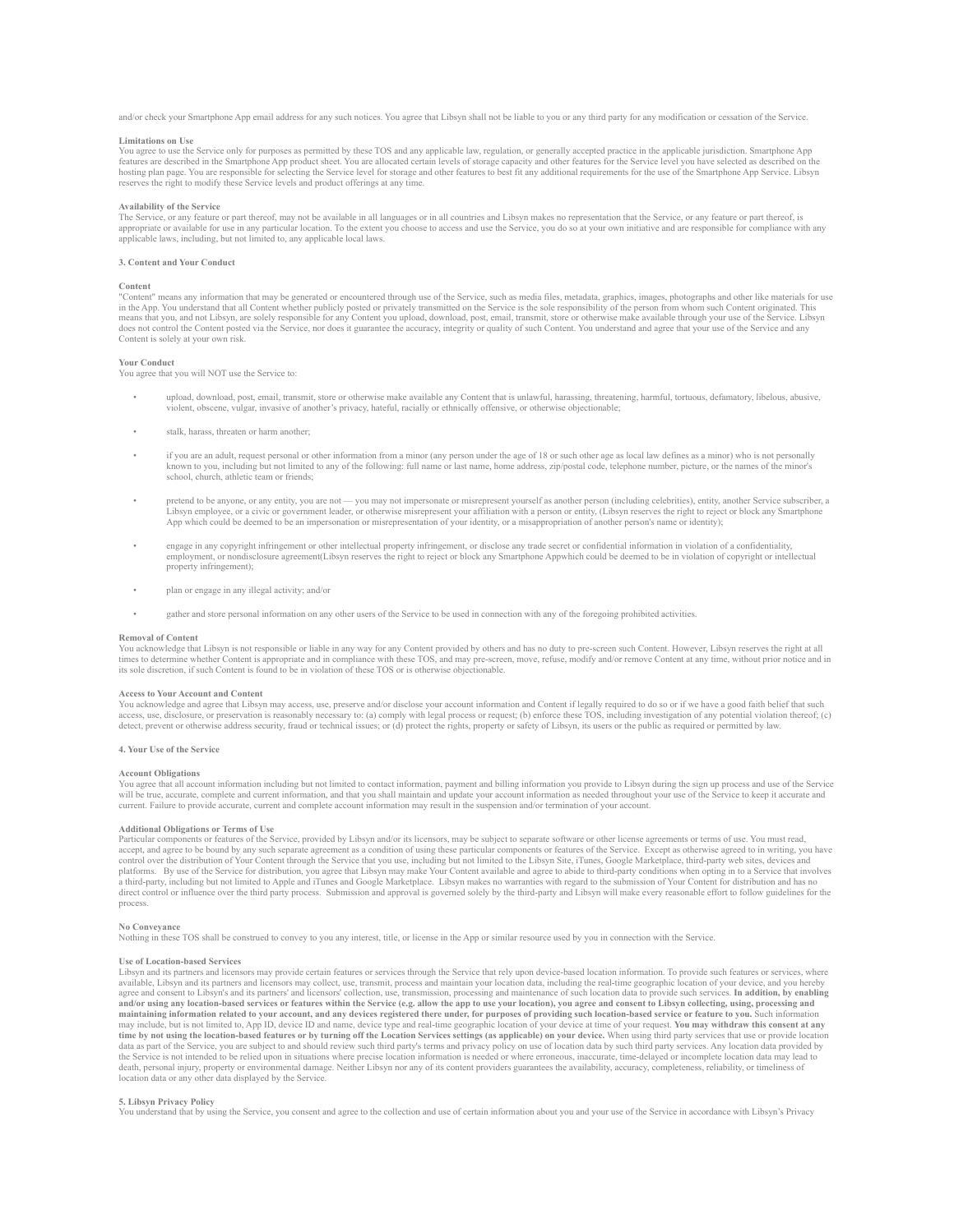and/or check your Smartphone App email address for any such notices. You agree that Libsyn shall not be liable to you or any third party for any modification or cessation of the Service.

### **Limitations on Use**

You agree to use the Service only for purposes as permitted by these TOS and any applicable law, regulation, or generally accepted practice in the applicable jurisdiction. Smartphone App<br>features are described in the Smart hosting plan page. You are responsible for selecting the Service level for storage and other features to best fit any additional requirements for the use of the Smartphone App Service. Libsyn reserves the right to modify these Service levels and product offerings at any time.

# **Availability of the Service**

The Service, or any feature or part thereof, may not be available in all languages or in all countries and Libsyn makes no representation that the Service, or any feature or part thereof, is appropriate or available for use in any particular location. To the extent you choose to access and use the Service, you do so at your own initiative and are responsible for compliance with any<br>applicable laws, including,

# **3. Content and Your Conduct**

#### **Content**

"Content" means any information that may be generated or encountered through use of the Service, such as media files, metadata, graphics, images, photographs and other like materials for use in the App. You understand that all Content whether publicly posted or privately transmitted on the Service is the sole responsibility of the person from whom such Content originated. This<br>means that you, and not Libsyn, a does not control the Content posted via the Service, nor does it guarantee the accuracy, integrity or quality of such Content. You understand and agree that your use of the Service and any any decay, integrity or quality o Content is solely at your own risk.

# **Your Conduct**

You agree that you will NOT use the Service to:

- upload, download, post, email, transmit, store or otherwise make available any Content that is unlawful, harassing, threatening, harmful, tortuous, defamatory, libelous, abusive, violent, obscene, vulgar, invasive of another's privacy, hateful, racially or ethnically offensive, or otherwise objectionable;
- stalk, harass, threaten or harm another;
- if you are an adult, request personal or other information from a minor (any person under the age of 18 or such other age as local law defines as a minor) who is not personally known to you, including but not limited to any of the following: full name or last name, home address, zip/postal code, telephone number, picture, or the names of the minor's school, church, athletic team or friends;
- pretend to be anyone, or any entity, you are not you may not impersonate or misrepresent yourself as another person (including celebrities), entity, another Service subscriber, a Libsyn employee, or a civic or government leader, or otherwise misrepresent your affiliation with a person or entity, (Libsyn reserves the right to reject or block any Smartphone<br>App which could be deemed to be an imperson
- e engage in any copyright infringement or other intellectual property infringement, or disclose any trade secret or confidential information in violation of a confidentiality,<br>employment, or nondisclosure agreement(Libsyn property infringement);
- plan or engage in any illegal activity; and/or
- gather and store personal information on any other users of the Service to be used in connection with any of the foregoing prohibited activities.

#### **Removal of Content**

You acknowledge that Libsyn is not responsible or liable in any way for any Content provided by others and has no duty to pre-screen such Content. However, Libsyn reserves the right at all times to determine whether Content is appropriate and in compliance with these TOS, and may pre-screen, move, refuse, modify and/or remove Content at any time, without prior notice and in<br>its sole discretion, if such Conte

#### **Access to Your Account and Content**

You acknowledge and agree that Libsyn may access, use, preserve and/or disclose your account information and Content if legally required to do so or if we have a good faith belief that such<br>access, use, disclosure, or pres detect, prevent or otherwise address security, fraud or technical issues; or (d) protect the rights, property or safety of Libsyn, its users or the public as required or permitted by law.

#### **4. Your Use of the Service**

#### **Account Obligations**

You agree that all account information including but not limited to contact information, payment and billing information you provide to Libsyn during the sign up process and use of the Service will be true, accurate, complete and current information, and that you shall maintain and update your account information as needed throughout your use of the Service to keep it accurate and<br>current. Failure to provide acc

#### **Additional Obligations or Terms of Use**

Particular components or features of the Service, provided by Libsyn and/or its licensors, may be subject to separate software or other license agreements or terms of use. You must read, accept, and agree to be bound by any such separate agreement as a condition of using these particular components or features of the Service. Except as otherwise agreed to in writing, you have control over the distribution of Your Content through the Service that you use, including but not limited to the Libsyn Site, iTunes, Google Marketplace, third-party web sites, devices and platforms. By use of the Service a third-party, including but not limited to Apple and iTunes and Google Marketplace. Libsyn makes no warranties with regard to the submission of Your Content for distribution and has no direct control or influence over the third party process. Submission and approval is governed solely by the third-party and Libsyn will make every reasonable effort to follow guidelines for the process.

# **No Conveyance**

Nothing in these TOS shall be construed to convey to you any interest, title, or license in the App or similar resource used by you in connection with the Service.

#### **Use of Location-based Services**

Libsyn and its partners and licensors may provide certain features or services through the Service that rely upon device-based location information. To provide such features or services, where and its partners and licensor and/or using any location-based services or features within the Service (e.g. allow the app to use your location), you agree and consent to Libsyn collecting, using, processing and<br>maintaining information related to your a may include, but is not limited to, App ID, device ID and name, device type and real-time geographic location of your device at time of your request. You may withdraw this consent at any<br>time by not using the location-base data as part of the Service, you are subject to and should review such third party's terms and privacy policy on use of location data by such third party services. Any location data provided by<br>the Service is not intended death, personal injury, property or environmental damage. Neither Libsyn nor any of its content providers guarantees the availability, accuracy, completeness, reliability, or timeliness of location data or any other data displayed by the Service.

# **5. Libsyn Privacy Policy**

You understand that by using the Service, you consent and agree to the collection and use of certain information about you and your use of the Service in accordance with Libsyn's Privacy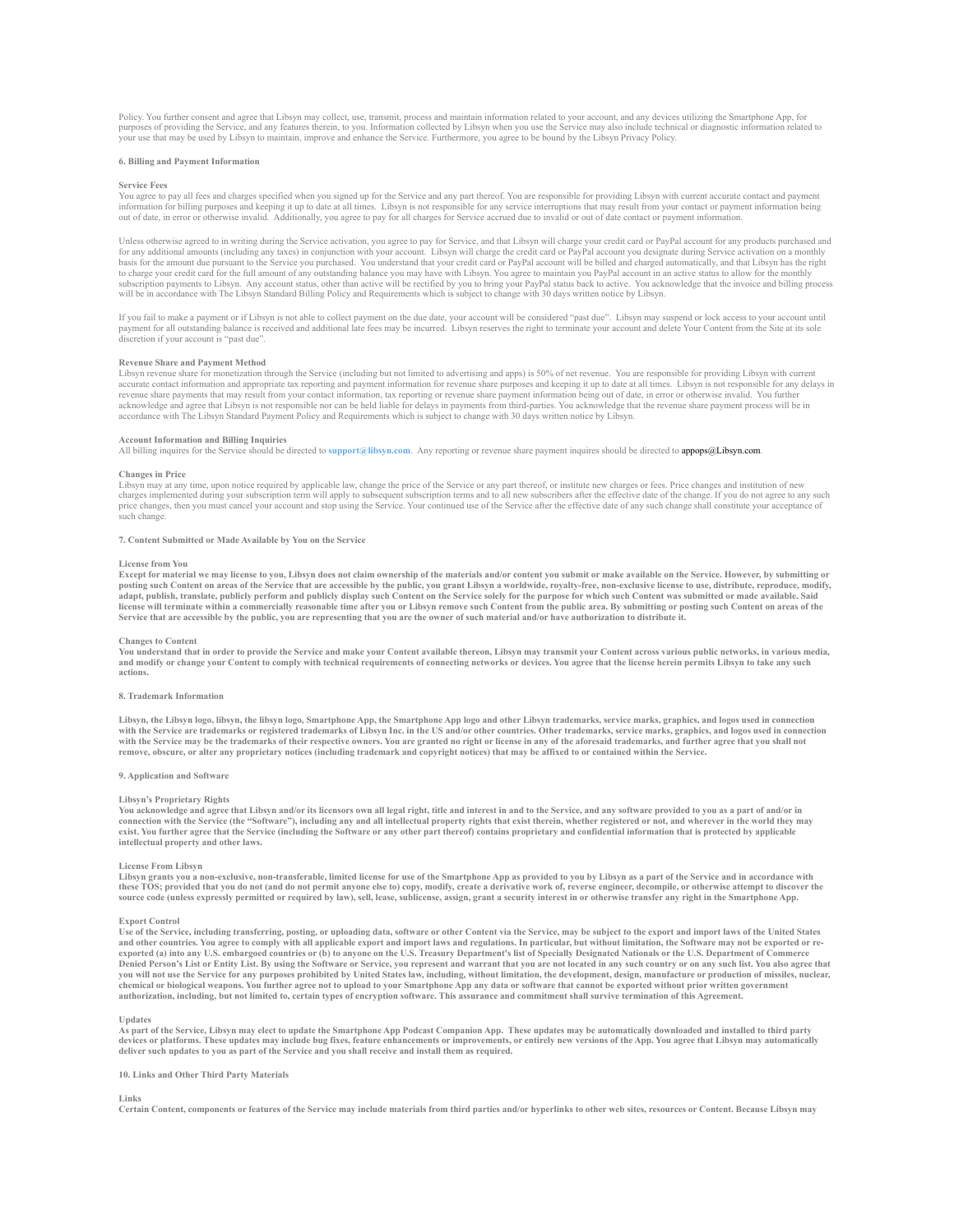Policy. You further consent and agree that Libsyn may collect, use, transmit, process and maintain information related to your account, and any devices utilizing the Smartphone App, for<br>purposes of providing the Service, a your use that may be used by Libsyn to maintain, improve and enhance the Service. Furthermore, you agree to be bound by the Libsyn Privacy Policy.

# **6. Billing and Payment Information**

### **Service Fees**

You agree to pay all fees and charges specified when you signed up for the Service and any part thereof. You are responsible for providing Libsyn with current accurate contact and payment information for billing purposes and keeping it up to date at all times. Libsyn is not responsible for any service interruptions that may result from your contact or payment information being<br>out of date, in error or other

Unless otherwise agreed to in writing during the Service activation, you agree to pay for Service, and that Libsyn will charge your credit card or PayPal account for any products purchased and for any additional amounts (including any taxes) in conjunction with your account. Libsyn will charge the credit card or PayPal account you designate during Service activation on a monthly basis for the amount due pursuant to the Service you purchased. You understand that your credit card or PayPal account will be billed and charged automatically, and that Libsyn has the right to charge your credit card for the full amount of any outstanding balance you may have with Libsyn. You agree to maintain you PayPal account in an active status to allow for the monthly<br>subscription payments to Libsyn. Any will be in accordance with The Libsyn Standard Billing Policy and Requirements which is subject to change with 30 days written notice by Libsyn.

If you fail to make a payment or if Libsyn is not able to collect payment on the due date, your account will be considered "past due". Libsyn may suspend or lock access to your account until<br>payment for all outstanding bal discretion if your account is "past due".

#### **Revenue Share and Payment Method**

Libsyn revenue share for monetization through the Service (including but not limited to advertising and apps) is 50% of net revenue. You are responsible for providing Libsyn with curre accurate contact information and appropriate tax reporting and payment information for revenue share purposes and keeping it up to date at all times. Libsyn is not responsible for any delays in<br>revenue share payments that acknowledge and agree that Libsyn is not responsible nor can be held liable for delays in payments from third-parties. You acknowledge that the revenue share payment process will be in<br>accordance with The Libsyn Standard P

# **Account Information and Billing Inquiries**

All billing inquires for the Service should be directed to **support@libsyn.com**. Any reporting or revenue share payment inquires should be directed to appops@Libsyn.com.

#### **Changes in Price**

Libsyn may at any time, upon notice required by applicable law, change the price of the Service or any part thereof, or institute new charges or fees. Price changes and institution of new charges implemented during your subscription term will apply to subsequent subscription terms and to all new subscribers after the effective date of the change. If you do not agree to any such<br>price changes, then you must .<br>such change

#### **7. Content Submitted or Made Available by You on the Service**

#### **License from You**

**Except for material we may license to you, Libsyn does not claim ownership of the materials and/or content you submit or make available on the Service. However, by submitting or**  posting such Content on areas of the Service that are accessible by the public, you grant Libsyn a worldwide, royalty-free, non-exclusive license to use, distribute, reproduce, modify,<br>adapt, publish, translate, publicly p license will terminate within a commercially reasonable time after you or Libsyn remove such Content from the public area. By submitting or posting such Content on areas of the<br>Service that are accessible by the public, yo

# **Changes to Content**

You understand that in order to provide the Service and make your Content available thereon, Libsyn may transmit your Content across various public networks, in various media,<br>and modify or change your Content to comply wi **actions.**

#### **8. Trademark Information**

Libsyn, the Libsyn logo, libsyn, the libsyn logo, Smartphone App, the Smartphone App logo and other Libsyn trademarks, service marks, graphics, and logos used in connection<br>with the Service are trademarks or registered tra with the Service may be the trademarks of their respective owners. You are granted no right or license in any of the aforesaid trademarks, and further agree that you shall not<br>remove, obscure, or alter any proprietary noti

# **9. Application and Software**

# **Libsyn's Proprietary Rights**

**You acknowledge and agree that Libsyn and/or its licensors own all legal right, title and interest in and to the Service, and any software provided to you as a part of and/or in**  connection with the Service (the "Software"), including any and all intellectual property rights that exist therein, whether registered or not, and wherever in the world they may<br>exist. You further agree that the Service ( **intellectual property and other laws.**

#### **License From Libsyn**

**Libsyn grants you a non-exclusive, non-transferable, limited license for use of the Smartphone App as provided to you by Libsyn as a part of the Service and in accordance with these TOS; provided that you do not (and do not permit anyone else to) copy, modify, create a derivative work of, reverse engineer, decompile, or otherwise attempt to discover the**  source code (unless expressly permitted or required by law), sell, lease, sublicense, assign, grant a security interest in or otherwise transfer any right in the Smartphone App.

#### **Export Control**

**Use of the Service, including transferring, posting, or uploading data, software or other Content via the Service, may be subject to the export and import laws of the United States**  and other countries. You agree to comply with all applicable export and import laws and regulations. In particular, but without limitation, the Software may not be exported or re-<br>exported (a) into any U.S. embargoed count Denied Person's List or Entity List. By using the Software or Service, you represent and warrant that you are not located in any such country or on any such list. You also agree that<br>you will not use the Service for any pu **chemical or biological weapons. You further agree not to upload to your Smartphone App any data or software that cannot be exported without prior written government authorization, including, but not limited to, certain types of encryption software. This assurance and commitment shall survive termination of this Agreement.**

#### **Updates**

**As part of the Service, Libsyn may elect to update the Smartphone App Podcast Companion App. These updates may be automatically downloaded and installed to third party devices or platforms. These updates may include bug fixes, feature enhancements or improvements, or entirely new versions of the App. You agree that Libsyn may automatically deliver such updates to you as part of the Service and you shall receive and install them as required.**

# **10. Links and Other Third Party Materials**

# **Links**

**Certain Content, components or features of the Service may include materials from third parties and/or hyperlinks to other web sites, resources or Content. Because Libsyn may**